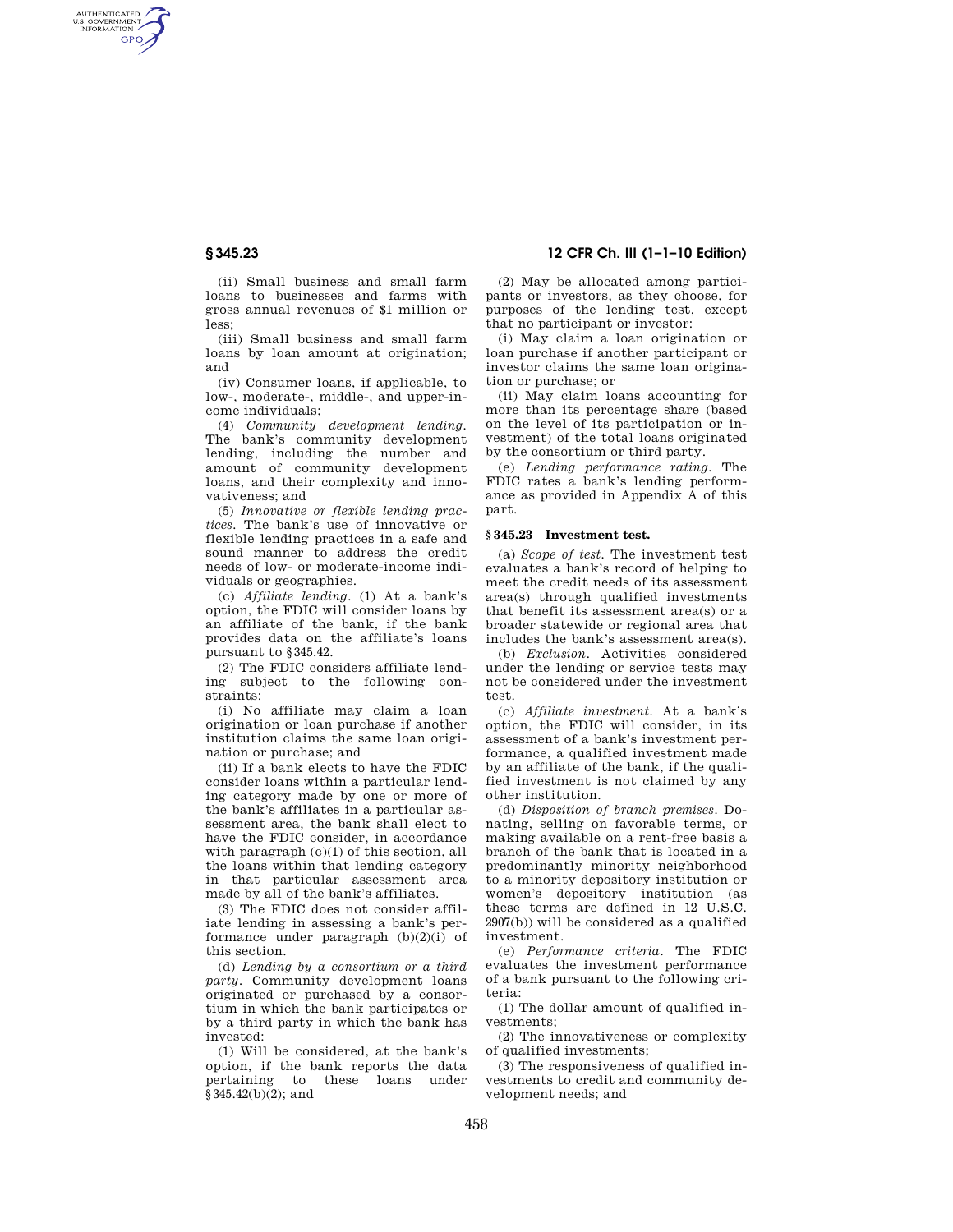AUTHENTICATED<br>U.S. GOVERNMENT<br>INFORMATION GPO

**§ 345.23 12 CFR Ch. III (1–1–10 Edition)** 

(ii) Small business and small farm loans to businesses and farms with gross annual revenues of \$1 million or less;

(iii) Small business and small farm loans by loan amount at origination; and

(iv) Consumer loans, if applicable, to low-, moderate-, middle-, and upper-income individuals;

(4) *Community development lending.*  The bank's community development lending, including the number and amount of community development loans, and their complexity and innovativeness; and

(5) *Innovative or flexible lending practices.* The bank's use of innovative or flexible lending practices in a safe and sound manner to address the credit needs of low- or moderate-income individuals or geographies.

(c) *Affiliate lending.* (1) At a bank's option, the FDIC will consider loans by an affiliate of the bank, if the bank provides data on the affiliate's loans pursuant to §345.42.

(2) The FDIC considers affiliate lending subject to the following constraints:

(i) No affiliate may claim a loan origination or loan purchase if another institution claims the same loan origination or purchase; and

(ii) If a bank elects to have the FDIC consider loans within a particular lending category made by one or more of the bank's affiliates in a particular assessment area, the bank shall elect to have the FDIC consider, in accordance with paragraph (c)(1) of this section, all the loans within that lending category in that particular assessment area made by all of the bank's affiliates.

(3) The FDIC does not consider affiliate lending in assessing a bank's performance under paragraph  $(b)(2)(i)$  of this section.

(d) *Lending by a consortium or a third party.* Community development loans originated or purchased by a consortium in which the bank participates or by a third party in which the bank has invested:

(1) Will be considered, at the bank's option, if the bank reports the data pertaining to these loans under  $§ 345.42(b)(2);$  and

(2) May be allocated among participants or investors, as they choose, for purposes of the lending test, except that no participant or investor:

(i) May claim a loan origination or loan purchase if another participant or investor claims the same loan origination or purchase; or

(ii) May claim loans accounting for more than its percentage share (based on the level of its participation or investment) of the total loans originated by the consortium or third party.

(e) *Lending performance rating.* The FDIC rates a bank's lending performance as provided in Appendix A of this part.

## **§ 345.23 Investment test.**

(a) *Scope of test.* The investment test evaluates a bank's record of helping to meet the credit needs of its assessment area(s) through qualified investments that benefit its assessment area(s) or a broader statewide or regional area that includes the bank's assessment area(s).

(b) *Exclusion.* Activities considered under the lending or service tests may not be considered under the investment test.

(c) *Affiliate investment.* At a bank's option, the FDIC will consider, in its assessment of a bank's investment performance, a qualified investment made by an affiliate of the bank, if the qualified investment is not claimed by any other institution.

(d) *Disposition of branch premises.* Donating, selling on favorable terms, or making available on a rent-free basis a branch of the bank that is located in a predominantly minority neighborhood to a minority depository institution or women's depository institution (as these terms are defined in 12 U.S.C. 2907(b)) will be considered as a qualified investment.

(e) *Performance criteria.* The FDIC evaluates the investment performance of a bank pursuant to the following criteria:

(1) The dollar amount of qualified investments;

(2) The innovativeness or complexity of qualified investments;

(3) The responsiveness of qualified investments to credit and community development needs; and